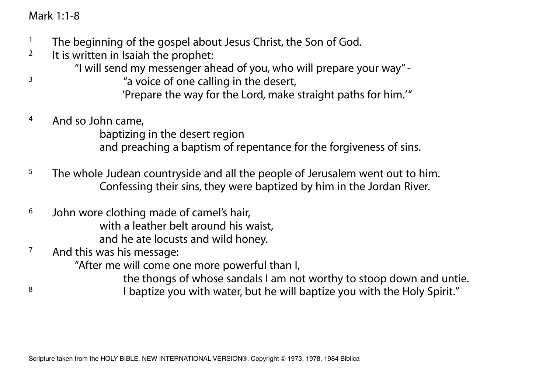# Mark 1:1-8

- <sup>1</sup> The beginning of the gospel about Jesus Christ, the Son of God.
- <sup>2</sup> It is written in Isaiah the prophet:
	- "I will send my messenger ahead of you, who will prepare your way" -
- <sup>3</sup> a voice of one calling in the desert, 'Prepare the way for the Lord, make straight paths for him.'"
- 4 And so John came,

 baptizing in the desert region and preaching a baptism of repentance for the forgiveness of sins.

- $5$  The whole Judean countryside and all the people of Jerusalem went out to him. Confessing their sins, they were baptized by him in the Jordan River.
- 6 John wore clothing made of camel's hair, with a leather belt around his waist, and he ate locusts and wild honey.
- 7 And this was his message:

"After me will come one more powerful than I,

the thongs of whose sandals I am not worthy to stoop down and untie.

<sup>8</sup> I baptize you with water, but he will baptize you with the Holy Spirit."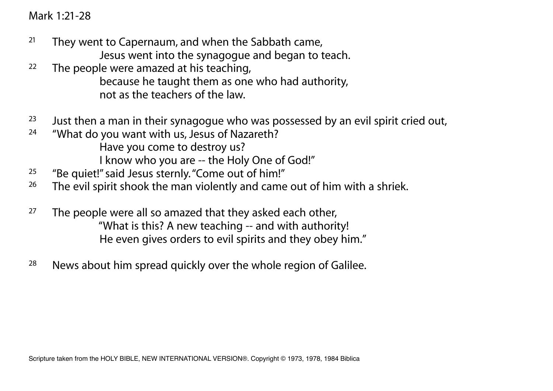Mark 1:21-28

- $21$  They went to Capernaum, and when the Sabbath came, Jesus went into the synagogue and began to teach.
- <sup>22</sup> The people were amazed at his teaching, because he taught them as one who had authority, not as the teachers of the law.
- <sup>23</sup> Just then a man in their synagogue who was possessed by an evil spirit cried out,
- <sup>24</sup> "What do you want with us, Jesus of Nazareth? Have you come to destroy us? I know who you are -- the Holy One of God!"
- <sup>25</sup> "Be quiet!" said Jesus sternly. "Come out of him!"<br><sup>26</sup> The evil spirit shook the man violently and came
- The evil spirit shook the man violently and came out of him with a shriek.
- $27$  The people were all so amazed that they asked each other, "What is this? A new teaching -- and with authority! He even gives orders to evil spirits and they obey him."
- $28$  News about him spread quickly over the whole region of Galilee.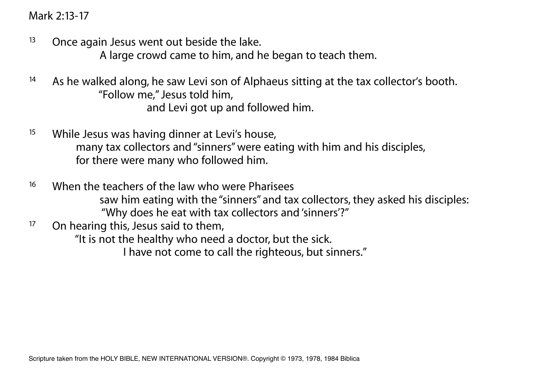Mark 2:13-17

 $13$  Once again Jesus went out beside the lake.

A large crowd came to him, and he began to teach them.

- <sup>14</sup> As he walked along, he saw Levi son of Alphaeus sitting at the tax collector's booth. "Follow me," Jesus told him, and Levi got up and followed him.
- <sup>15</sup> While Jesus was having dinner at Levi's house, many tax collectors and "sinners" were eating with him and his disciples, for there were many who followed him.
- <sup>16</sup> When the teachers of the law who were Pharisees saw him eating with the "sinners" and tax collectors, they asked his disciples: "Why does he eat with tax collectors and 'sinners'?"<br>On bearing this lesus said to them
- On hearing this, Jesus said to them,

 "It is not the healthy who need a doctor, but the sick. I have not come to call the righteous, but sinners."

Scripture taken from the HOLY BIBLE, NEW INTERNATIONAL VERSION®. Copyright © 1973, 1978, 1984 Biblica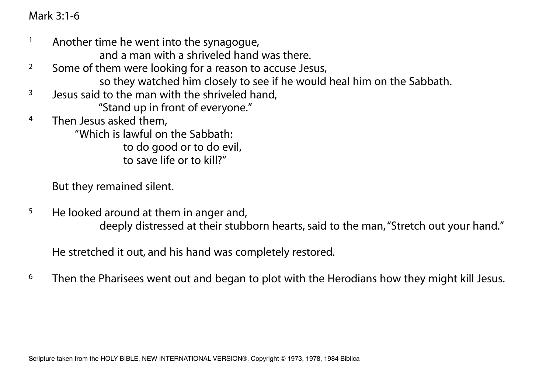Mark 3:1-6

- <sup>1</sup> Another time he went into the synagogue,
	- and a man with a shriveled hand was there.
- <sup>2</sup> Some of them were looking for a reason to accuse Jesus, so they watched him closely to see if he would heal him on the Sabbath.
- $3$  Jesus said to the man with the shriveled hand,
	- "Stand up in front of everyone."
- 4 Then Jesus asked them,

 "Which is lawful on the Sabbath: to do good or to do evil, to save life or to kill?"

But they remained silent.

<sup>5</sup> He looked around at them in anger and, deeply distressed at their stubborn hearts, said to the man, "Stretch out your hand."

He stretched it out, and his hand was completely restored.

 $6$  Then the Pharisees went out and began to plot with the Herodians how they might kill Jesus.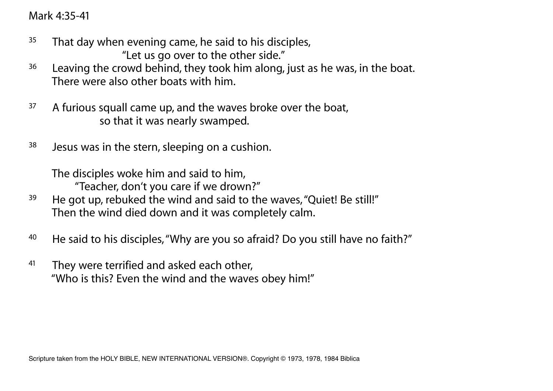Mark 4:35-41

- $35$  That day when evening came, he said to his disciples, "Let us go over to the other side."
- <sup>36</sup> Leaving the crowd behind, they took him along, just as he was, in the boat. There were also other boats with him.
- <sup>37</sup> A furious squall came up, and the waves broke over the boat, so that it was nearly swamped.
- $38$  Jesus was in the stern, sleeping on a cushion.

 The disciples woke him and said to him, "Teacher, don't you care if we drown?"

- <sup>39</sup> He got up, rebuked the wind and said to the waves, "Quiet! Be still!" Then the wind died down and it was completely calm.
- <sup>40</sup> He said to his disciples, "Why are you so afraid? Do you still have no faith?"
- <sup>41</sup> They were terrified and asked each other, "Who is this? Even the wind and the waves obey him!"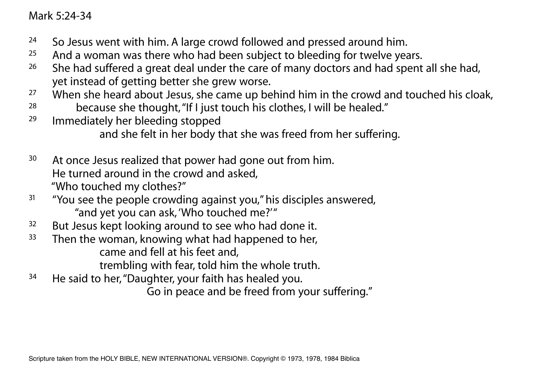Mark 5:24-34

- <sup>24</sup> So Jesus went with him. A large crowd followed and pressed around him.
- $25$  And a woman was there who had been subject to bleeding for twelve years.
- <sup>26</sup> She had suffered a great deal under the care of many doctors and had spent all she had, yet instead of getting better she grew worse.<br>27 When she beard about lesus she came up be
- When she heard about Jesus, she came up behind him in the crowd and touched his cloak,
- <sup>28</sup> because she thought, "If I just touch his clothes, I will be healed."
- 29 Immediately her bleeding stopped and she felt in her body that she was freed from her suffering.
- <sup>30</sup> At once Jesus realized that power had gone out from him. He turned around in the crowd and asked, "Who touched my clothes?"
- <sup>31</sup> "You see the people crowding against you," his disciples answered, "and yet you can ask, 'Who touched me?'"
- <sup>32</sup> But Jesus kept looking around to see who had done it.
- <sup>33</sup> Then the woman, knowing what had happened to her, came and fell at his feet and,
	- trembling with fear, told him the whole truth.
- <sup>34</sup> He said to her, "Daughter, your faith has healed you.

Go in peace and be freed from your suffering."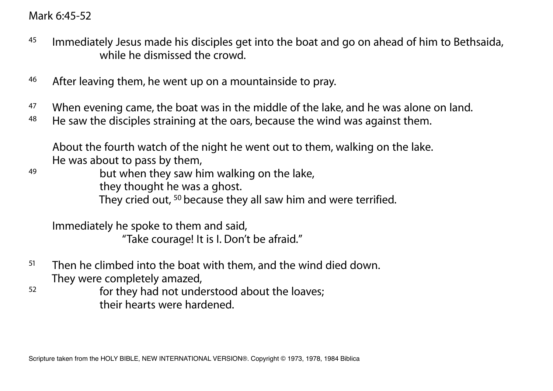# Mark 6:45-52

- $45$  Immediately Jesus made his disciples get into the boat and go on ahead of him to Bethsaida, while he dismissed the crowd
- 46 After leaving them, he went up on a mountainside to pray.
- <sup>47</sup> When evening came, the boat was in the middle of the lake, and he was alone on land.
- 48 He saw the disciples straining at the oars, because the wind was against them.

 About the fourth watch of the night he went out to them, walking on the lake. He was about to pass by them,

49 but when they saw him walking on the lake, they thought he was a ghost. They cried out, 50 because they all saw him and were terrified.

 Immediately he spoke to them and said, "Take courage! It is I. Don't be afraid."

- $51$  Then he climbed into the boat with them, and the wind died down. They were completely amazed,
- 52 for they had not understood about the loaves; their hearts were hardened.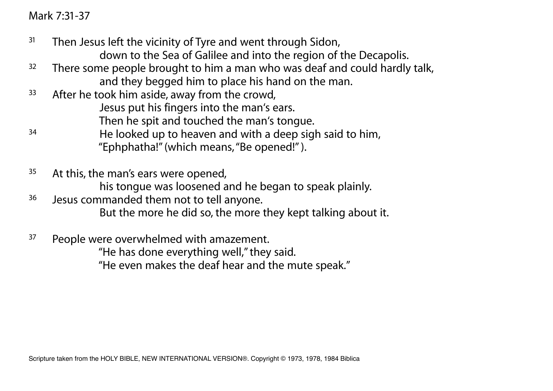Mark 7:31-37

- $31$  Then Jesus left the vicinity of Tyre and went through Sidon, down to the Sea of Galilee and into the region of the Decapolis.
- <sup>32</sup> There some people brought to him a man who was deaf and could hardly talk, and they begged him to place his hand on the man.
- <sup>33</sup> After he took him aside, away from the crowd, Jesus put his fingers into the man's ears. Then he spit and touched the man's tongue.
- 34 He looked up to heaven and with a deep sigh said to him, "Ephphatha!" (which means, "Be opened!" ).
- <sup>35</sup> At this, the man's ears were opened, his tongue was loosened and he began to speak plainly. <sup>36</sup> Jesus commanded them not to tell anyone.
	- But the more he did so, the more they kept talking about it.
- <sup>37</sup> People were overwhelmed with amazement.
	- "He has done everything well," they said.
	- "He even makes the deaf hear and the mute speak."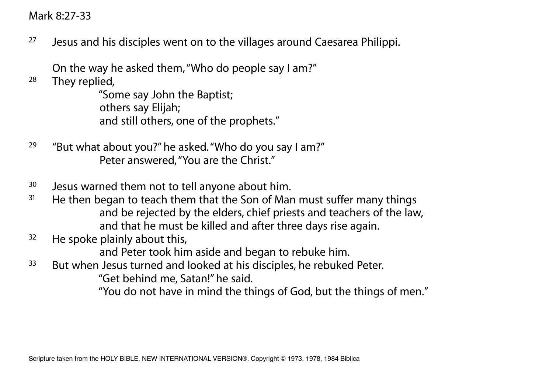### Mark 8:27-33

<sup>27</sup> Jesus and his disciples went on to the villages around Caesarea Philippi.

On the way he asked them, "Who do people say I am?"<br>28 They replied

They replied,

 "Some say John the Baptist; others say Elijah; and still others, one of the prophets."

- <sup>29</sup> "But what about you?" he asked. "Who do you say I am?" Peter answered, "You are the Christ."
- <sup>30</sup> Jesus warned them not to tell anyone about him.
- $31$  He then began to teach them that the Son of Man must suffer many things and be rejected by the elders, chief priests and teachers of the law, and that he must be killed and after three days rise again.
- $32$  He spoke plainly about this,

and Peter took him aside and began to rebuke him.

<sup>33</sup> But when Jesus turned and looked at his disciples, he rebuked Peter.

"Get behind me, Satan!" he said.

"You do not have in mind the things of God, but the things of men."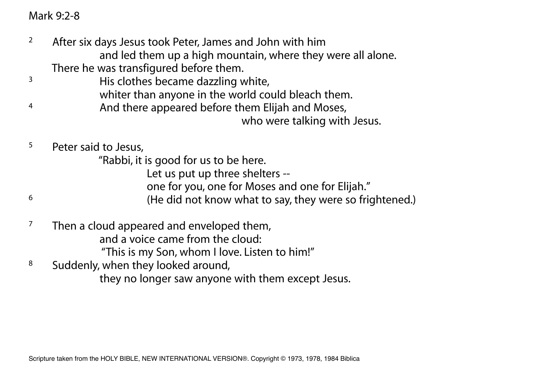# Mark 9:2-8

- <sup>2</sup> After six days Jesus took Peter, James and John with him and led them up a high mountain, where they were all alone. There he was transfigured before them.
- <sup>3</sup> His clothes became dazzling white,
	- whiter than anyone in the world could bleach them.
- <sup>4</sup> And there appeared before them Elijah and Moses, who were talking with Jesus.
- 5 Peter said to Jesus,
	- "Rabbi, it is good for us to be here.
		- Let us put up three shelters --
		- one for you, one for Moses and one for Elijah."
- 6 (He did not know what to say, they were so frightened.)
- $7$  Then a cloud appeared and enveloped them, and a voice came from the cloud: "This is my Son, whom I love. Listen to him!"
- 8 Suddenly, when they looked around, they no longer saw anyone with them except Jesus.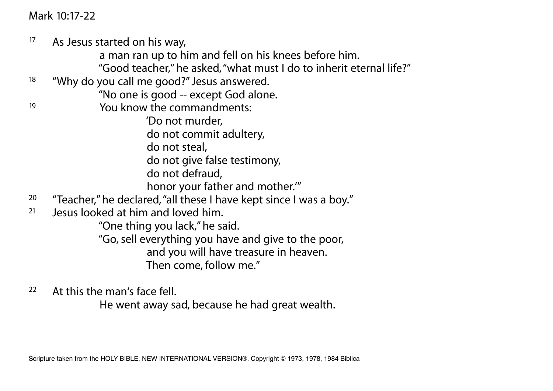Mark 10:17-22

<sup>17</sup> As Jesus started on his way, a man ran up to him and fell on his knees before him. "Good teacher," he asked, "what must I do to inherit eternal life?" 18 "Why do you call me good?" Jesus answered. "No one is good -- except God alone. 19 You know the commandments: 'Do not murder, do not commit adultery, do not steal, do not give false testimony, do not defraud, honor your father and mother.'" <sup>20</sup> "Teacher," he declared, "all these I have kept since I was a boy." 21 Jesus looked at him and loved him. "One thing you lack," he said. "Go, sell everything you have and give to the poor, and you will have treasure in heaven. Then come, follow me."

22 At this the man's face fell.

He went away sad, because he had great wealth.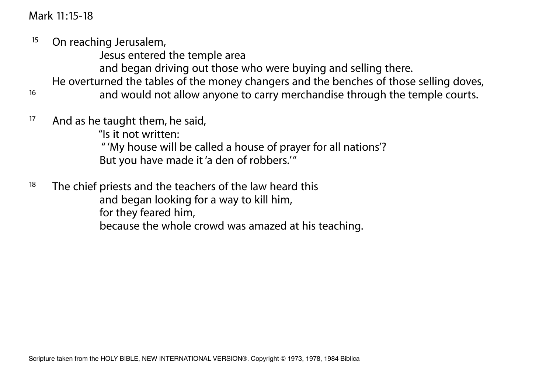Mark 11:15-18

<sup>15</sup> On reaching Jerusalem,

Jesus entered the temple area

and began driving out those who were buying and selling there.

He overturned the tables of the money changers and the benches of those selling doves,

16 and would not allow anyone to carry merchandise through the temple courts.

<sup>17</sup> And as he taught them, he said,

"Is it not written:

 " 'My house will be called a house of prayer for all nations'? But you have made it 'a den of robbers.'"

 $18$  The chief priests and the teachers of the law heard this and began looking for a way to kill him, for they feared him,

because the whole crowd was amazed at his teaching.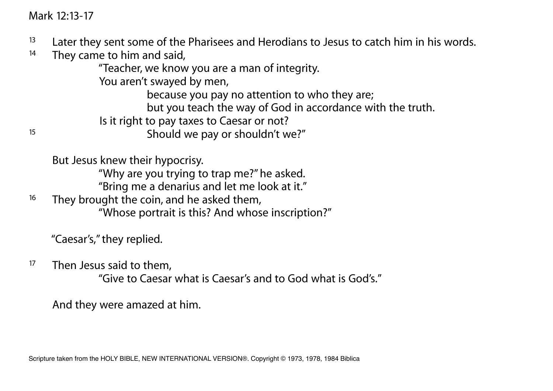Mark 12:13-17

- <sup>13</sup> Later they sent some of the Pharisees and Herodians to Jesus to catch him in his words.
- $14$  They came to him and said,

"Teacher, we know you are a man of integrity.

You aren't swayed by men,

because you pay no attention to who they are;

but you teach the way of God in accordance with the truth.

Is it right to pay taxes to Caesar or not?

Should we pay or shouldn't we?"

But Jesus knew their hypocrisy.

"Why are you trying to trap me?" he asked.

"Bring me a denarius and let me look at it."

<sup>16</sup> They brought the coin, and he asked them, "Whose portrait is this? And whose inscription?"

"Caesar's," they replied.

<sup>17</sup> Then Jesus said to them.

"Give to Caesar what is Caesar's and to God what is God's."

And they were amazed at him.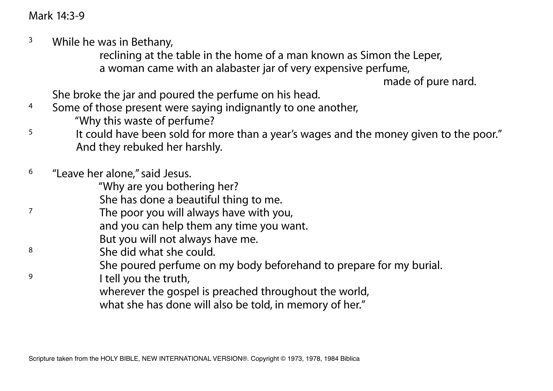Mark 14:3-9

 $3$  While he was in Bethany,

 reclining at the table in the home of a man known as Simon the Leper, a woman came with an alabaster jar of very expensive perfume,

made of pure nard.

She broke the jar and poured the perfume on his head.

- <sup>4</sup> Some of those present were saying indignantly to one another, "Why this waste of perfume?
- <sup>5</sup> It could have been sold for more than a year's wages and the money given to the poor." And they rebuked her harshly.
- 6 "Leave her alone," said Jesus.

"Why are you bothering her?

She has done a beautiful thing to me.

- 7 The poor you will always have with you,
	- and you can help them any time you want.
	- But you will not always have me.
- 8 She did what she could.
	- She poured perfume on my body beforehand to prepare for my burial.
- <sup>9</sup> I tell you the truth,

wherever the gospel is preached throughout the world,

what she has done will also be told, in memory of her."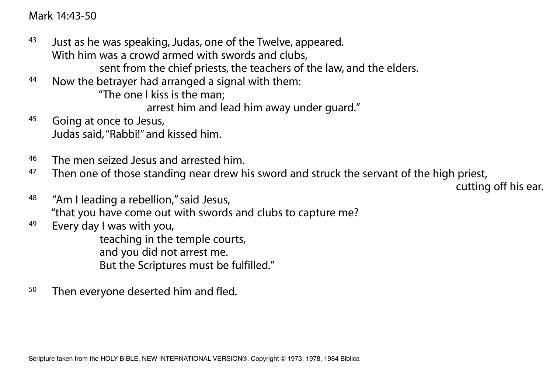Mark 14:43-50

- $43$  Just as he was speaking, Judas, one of the Twelve, appeared. With him was a crowd armed with swords and clubs, sent from the chief priests, the teachers of the law, and the elders.
- 44 Now the betrayer had arranged a signal with them:

"The one I kiss is the man;

arrest him and lead him away under guard."

- 45 Going at once to Jesus, Judas said, "Rabbi!" and kissed him.
- 46 The men seized Jesus and arrested him.
- <sup>47</sup> Then one of those standing near drew his sword and struck the servant of the high priest,

cutting off his ear.

- 48 "Am I leading a rebellion," said Jesus, "that you have come out with swords and clubs to capture me?
- 49 Every day I was with you,

 teaching in the temple courts, and you did not arrest me. But the Scriptures must be fulfilled."

<sup>50</sup> Then everyone deserted him and fled.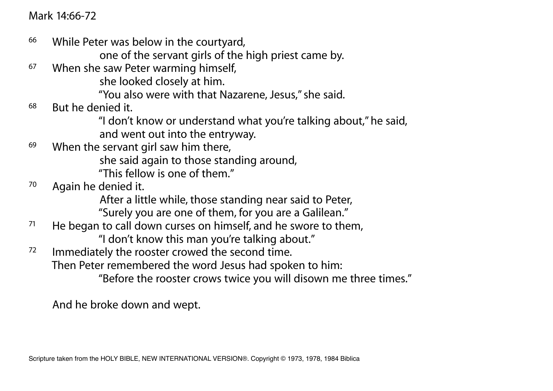Mark 14:66-72

66 While Peter was below in the courtyard,

one of the servant girls of the high priest came by.

<sup>67</sup> When she saw Peter warming himself,

she looked closely at him.

"You also were with that Nazarene, Jesus," she said.

- 68 But he denied it.
	- "I don't know or understand what you're talking about," he said, and went out into the entryway.
- $69$  When the servant girl saw him there, she said again to those standing around, "This fellow is one of them."
- 70 Again he denied it.

After a little while, those standing near said to Peter,

"Surely you are one of them, for you are a Galilean."<br>The began to call down curses on bimself and be swore to the

He began to call down curses on himself, and he swore to them, "I don't know this man you're talking about."

<sup>72</sup> Immediately the rooster crowed the second time.

Then Peter remembered the word Jesus had spoken to him:

"Before the rooster crows twice you will disown me three times."

And he broke down and wept.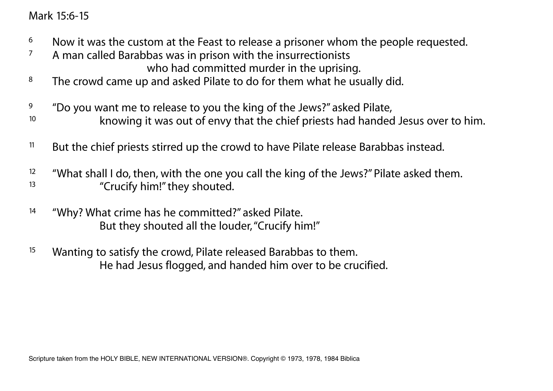Mark 15:6-15

- $6$  Now it was the custom at the Feast to release a prisoner whom the people requested.
- <sup>7</sup> A man called Barabbas was in prison with the insurrectionists who had committed murder in the uprising.
- <sup>8</sup> The crowd came up and asked Pilate to do for them what he usually did.
- $9$  "Do you want me to release to you the king of the Jews?" asked Pilate,
- <sup>10</sup> knowing it was out of envy that the chief priests had handed Jesus over to him.
- <sup>11</sup> But the chief priests stirred up the crowd to have Pilate release Barabbas instead.
- <sup>12</sup> "What shall I do, then, with the one you call the king of the Jews?" Pilate asked them.<br><sup>13</sup> "Crucify biml" they shouted "Crucify him!" they shouted.
- 14 "Why? What crime has he committed?" asked Pilate. But they shouted all the louder, "Crucify him!"
- <sup>15</sup> Wanting to satisfy the crowd, Pilate released Barabbas to them. He had Jesus flogged, and handed him over to be crucified.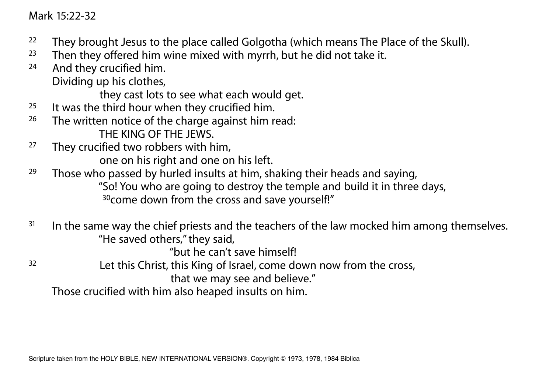#### Mark 15:22-32

- <sup>22</sup> They brought Jesus to the place called Golgotha (which means The Place of the Skull).
- $23$  Then they offered him wine mixed with myrrh, but he did not take it.
- 24 And they crucified him. Dividing up his clothes,

they cast lots to see what each would get.

- $25$  It was the third hour when they crucified him.
- <sup>26</sup> The written notice of the charge against him read: THE KING OF THE JEWS.<br><sup>27</sup> They crucified two robbers with b
- They crucified two robbers with him, one on his right and one on his left.
- <sup>29</sup> Those who passed by hurled insults at him, shaking their heads and saying, "So! You who are going to destroy the temple and build it in three days, <sup>30</sup>come down from the cross and save yourself!"
- $31$  In the same way the chief priests and the teachers of the law mocked him among themselves. "He saved others," they said,

"but he can't save himself!

<sup>32</sup> Let this Christ, this King of Israel, come down now from the cross,

that we may see and believe."

Those crucified with him also heaped insults on him.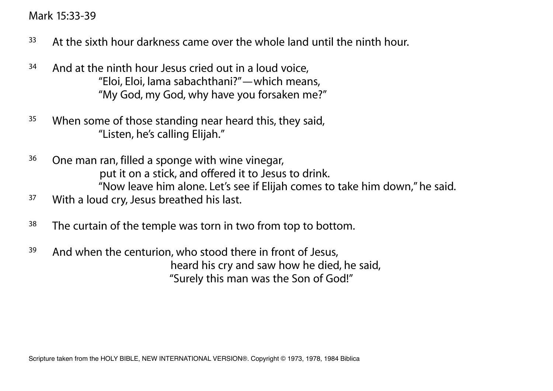Mark 15:33-39

- $33$  At the sixth hour darkness came over the whole land until the ninth hour.
- <sup>34</sup> And at the ninth hour Jesus cried out in a loud voice, "Eloi, Eloi, lama sabachthani?"—which means, "My God, my God, why have you forsaken me?"
- <sup>35</sup> When some of those standing near heard this, they said, "Listen, he's calling Elijah."
- <sup>36</sup> One man ran, filled a sponge with wine vinegar, put it on a stick, and offered it to Jesus to drink. "Now leave him alone. Let's see if Elijah comes to take him down," he said.
- <sup>37</sup> With a loud cry, Jesus breathed his last.
- <sup>38</sup> The curtain of the temple was torn in two from top to bottom.
- <sup>39</sup> And when the centurion, who stood there in front of Jesus, heard his cry and saw how he died, he said, "Surely this man was the Son of God!"